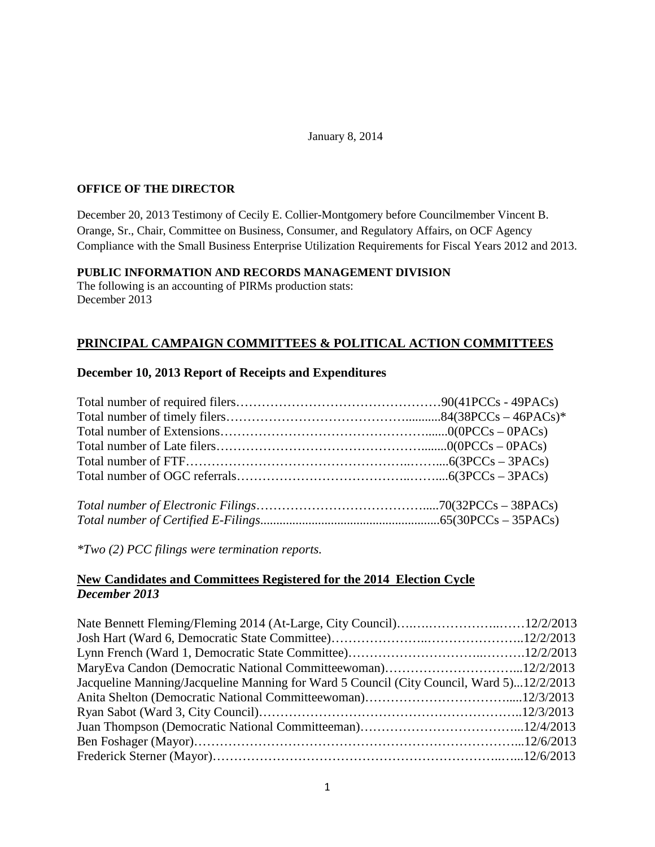#### January 8, 2014

## **OFFICE OF THE DIRECTOR**

December 20, 2013 Testimony of Cecily E. Collier-Montgomery before Councilmember Vincent B. Orange, Sr., Chair, Committee on Business, Consumer, and Regulatory Affairs, on OCF Agency Compliance with the Small Business Enterprise Utilization Requirements for Fiscal Years 2012 and 2013.

## **PUBLIC INFORMATION AND RECORDS MANAGEMENT DIVISION**

The following is an accounting of PIRMs production stats: December 2013

# **PRINCIPAL CAMPAIGN COMMITTEES & POLITICAL ACTION COMMITTEES**

## **December 10, 2013 Report of Receipts and Expenditures**

*\*Two (2) PCC filings were termination reports.* 

## **New Candidates and Committees Registered for the 2014 Election Cycle** *December 2013*

| Jacqueline Manning/Jacqueline Manning for Ward 5 Council (City Council, Ward 5)12/2/2013 |  |
|------------------------------------------------------------------------------------------|--|
|                                                                                          |  |
|                                                                                          |  |
|                                                                                          |  |
|                                                                                          |  |
|                                                                                          |  |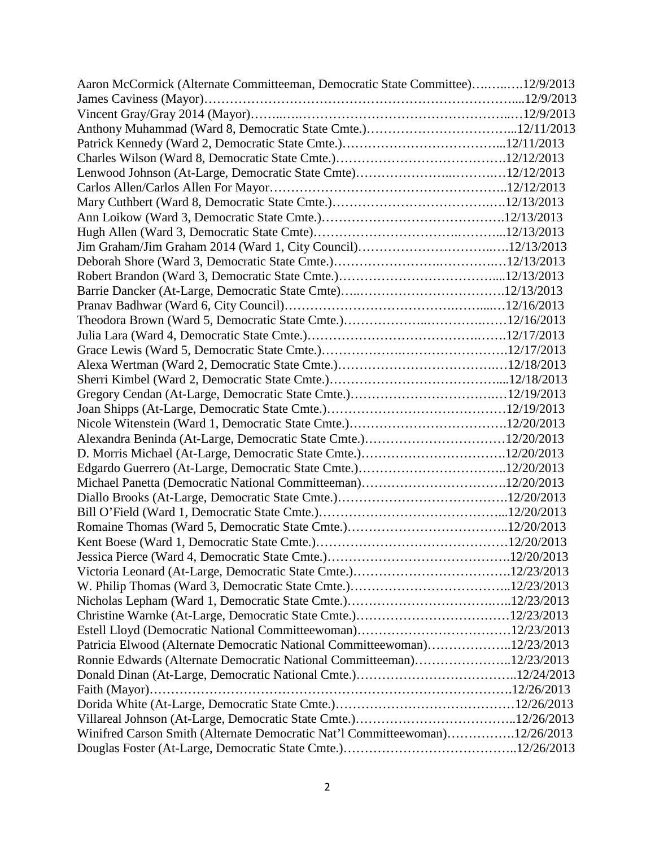| Aaron McCormick (Alternate Committeeman, Democratic State Committee)12/9/2013 |  |
|-------------------------------------------------------------------------------|--|
|                                                                               |  |
|                                                                               |  |
|                                                                               |  |
|                                                                               |  |
|                                                                               |  |
|                                                                               |  |
|                                                                               |  |
|                                                                               |  |
|                                                                               |  |
|                                                                               |  |
|                                                                               |  |
|                                                                               |  |
|                                                                               |  |
|                                                                               |  |
|                                                                               |  |
|                                                                               |  |
|                                                                               |  |
|                                                                               |  |
|                                                                               |  |
|                                                                               |  |
|                                                                               |  |
|                                                                               |  |
|                                                                               |  |
| Alexandra Beninda (At-Large, Democratic State Cmte.)12/20/2013                |  |
|                                                                               |  |
|                                                                               |  |
|                                                                               |  |
|                                                                               |  |
|                                                                               |  |
|                                                                               |  |
|                                                                               |  |
|                                                                               |  |
|                                                                               |  |
|                                                                               |  |
|                                                                               |  |
|                                                                               |  |
|                                                                               |  |
| Patricia Elwood (Alternate Democratic National Committeewoman)12/23/2013      |  |
| Ronnie Edwards (Alternate Democratic National Committeeman)12/23/2013         |  |
|                                                                               |  |
|                                                                               |  |
|                                                                               |  |
|                                                                               |  |
| Winifred Carson Smith (Alternate Democratic Nat'l Committeewoman)12/26/2013   |  |
|                                                                               |  |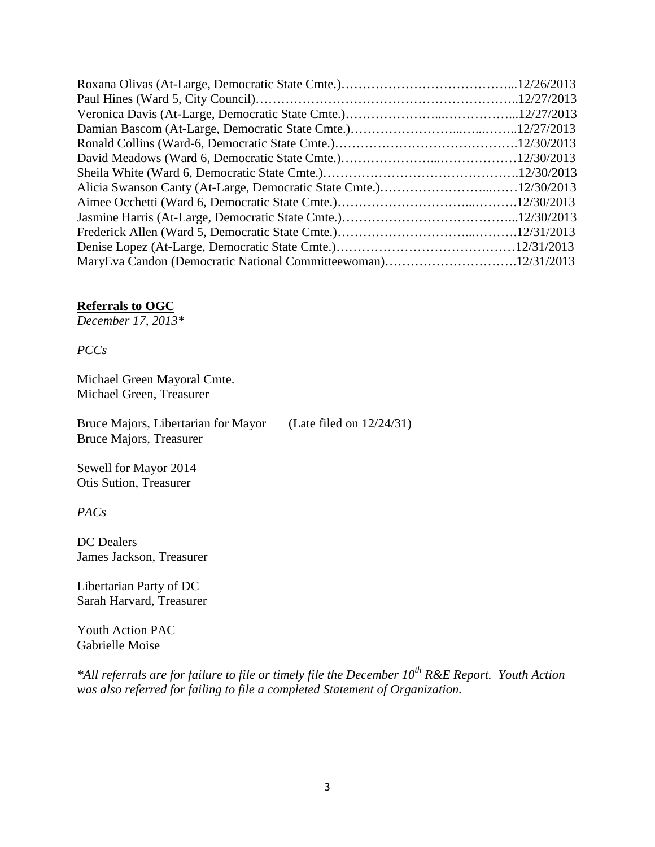| MaryEva Candon (Democratic National Committeewoman)12/31/2013 |  |
|---------------------------------------------------------------|--|

### **Referrals to OGC**

*December 17, 2013\**

*PCCs*

Michael Green Mayoral Cmte. Michael Green, Treasurer

Bruce Majors, Libertarian for Mayor (Late filed on 12/24/31) Bruce Majors, Treasurer

Sewell for Mayor 2014 Otis Sution, Treasurer

*PACs*

DC Dealers James Jackson, Treasurer

Libertarian Party of DC Sarah Harvard, Treasurer

Youth Action PAC Gabrielle Moise

*\*All referrals are for failure to file or timely file the December 10th R&E Report. Youth Action was also referred for failing to file a completed Statement of Organization.*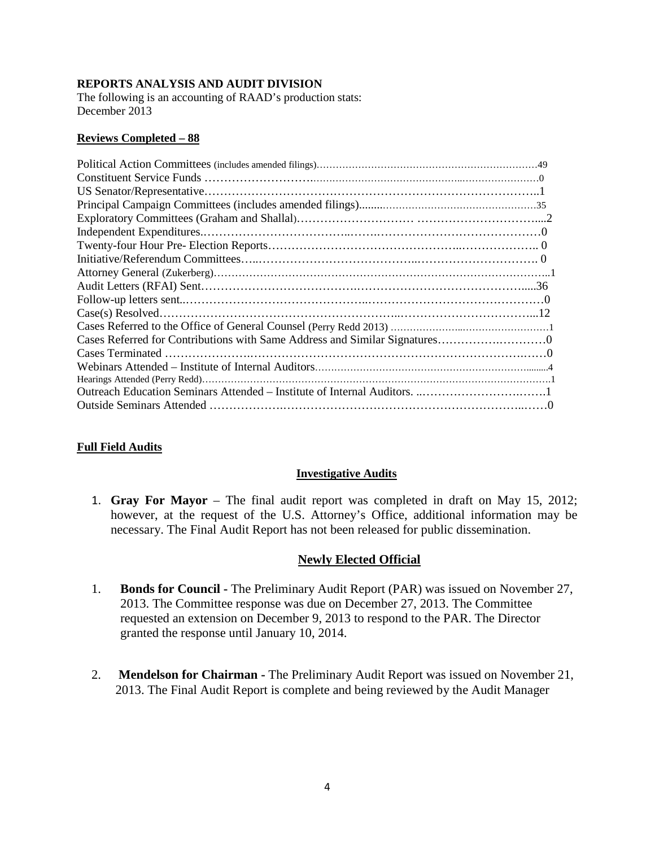### **REPORTS ANALYSIS AND AUDIT DIVISION**

The following is an accounting of RAAD's production stats: December 2013

### **Reviews Completed – 88**

## **Full Field Audits**

### **Investigative Audits**

1. **Gray For Mayor** – The final audit report was completed in draft on May 15, 2012; however, at the request of the U.S. Attorney's Office, additional information may be necessary. The Final Audit Report has not been released for public dissemination.

## **Newly Elected Official**

- 1. **Bonds for Council -** The Preliminary Audit Report (PAR) was issued on November 27, 2013. The Committee response was due on December 27, 2013. The Committee requested an extension on December 9, 2013 to respond to the PAR. The Director granted the response until January 10, 2014.
- 2. **Mendelson for Chairman -** The Preliminary Audit Report was issued on November 21, 2013. The Final Audit Report is complete and being reviewed by the Audit Manager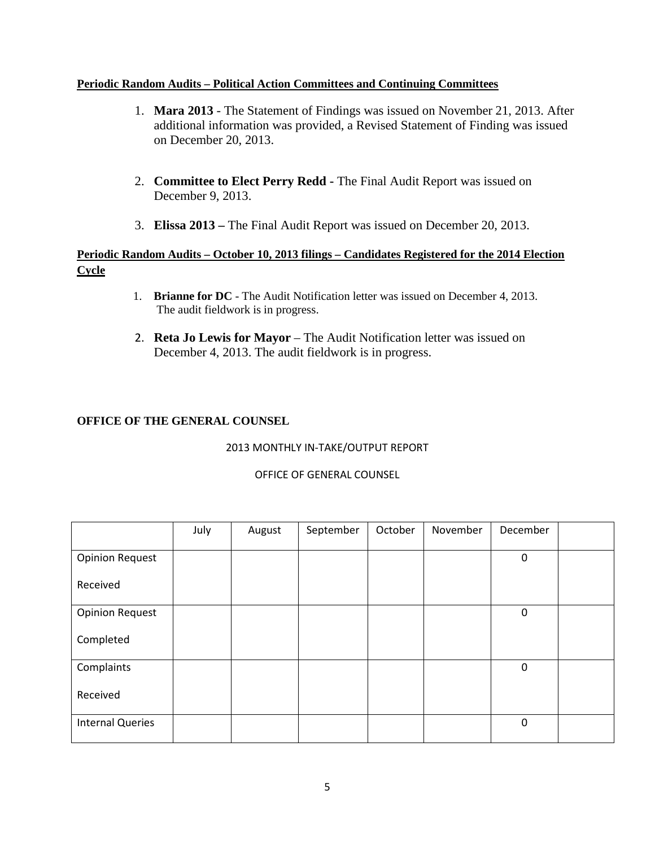### **Periodic Random Audits – Political Action Committees and Continuing Committees**

- 1. **Mara 2013** The Statement of Findings was issued on November 21, 2013. After additional information was provided, a Revised Statement of Finding was issued on December 20, 2013.
- 2. **Committee to Elect Perry Redd -** The Final Audit Report was issued on December 9, 2013.
- 3. **Elissa 2013 –** The Final Audit Report was issued on December 20, 2013.

## **Periodic Random Audits – October 10, 2013 filings – Candidates Registered for the 2014 Election Cycle**

- 1. **Brianne for DC** The Audit Notification letter was issued on December 4, 2013. The audit fieldwork is in progress.
- 2. **Reta Jo Lewis for Mayor** The Audit Notification letter was issued on December 4, 2013. The audit fieldwork is in progress.

## **OFFICE OF THE GENERAL COUNSEL**

## 2013 MONTHLY IN-TAKE/OUTPUT REPORT

|                         | July | August | September | October | November | December    |  |
|-------------------------|------|--------|-----------|---------|----------|-------------|--|
| <b>Opinion Request</b>  |      |        |           |         |          | $\mathbf 0$ |  |
| Received                |      |        |           |         |          |             |  |
| <b>Opinion Request</b>  |      |        |           |         |          | $\mathbf 0$ |  |
| Completed               |      |        |           |         |          |             |  |
| Complaints              |      |        |           |         |          | $\mathbf 0$ |  |
| Received                |      |        |           |         |          |             |  |
| <b>Internal Queries</b> |      |        |           |         |          | $\mathbf 0$ |  |

### OFFICE OF GENERAL COUNSEL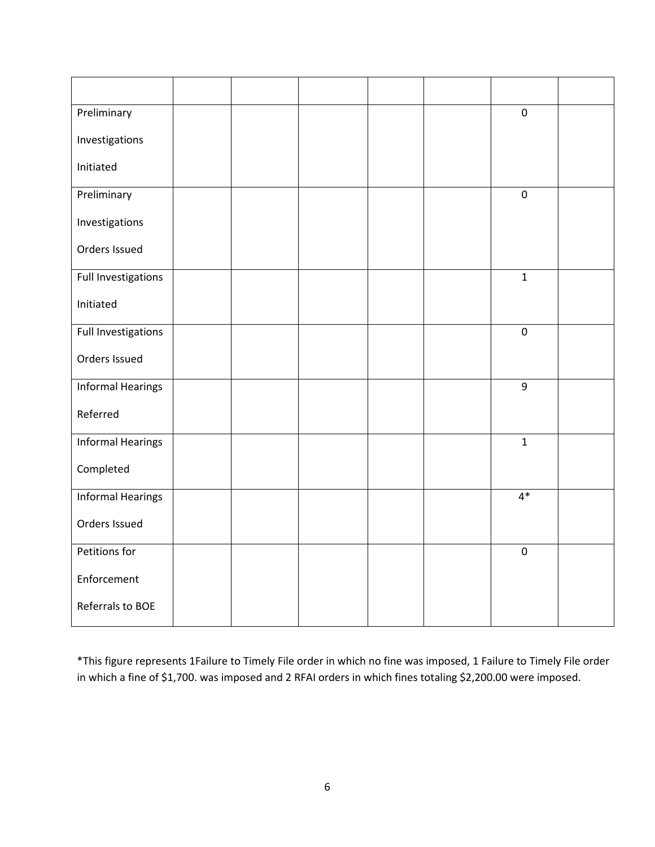| Preliminary              |  |  | $\mathbf 0$    |  |
|--------------------------|--|--|----------------|--|
| Investigations           |  |  |                |  |
| Initiated                |  |  |                |  |
| Preliminary              |  |  | $\pmb{0}$      |  |
| Investigations           |  |  |                |  |
| Orders Issued            |  |  |                |  |
| Full Investigations      |  |  | $\mathbf{1}$   |  |
| Initiated                |  |  |                |  |
| Full Investigations      |  |  | $\pmb{0}$      |  |
| Orders Issued            |  |  |                |  |
| <b>Informal Hearings</b> |  |  | $\overline{9}$ |  |
| Referred                 |  |  |                |  |
| <b>Informal Hearings</b> |  |  | $\mathbf{1}$   |  |
| Completed                |  |  |                |  |
| <b>Informal Hearings</b> |  |  | $4*$           |  |
| Orders Issued            |  |  |                |  |
| Petitions for            |  |  | $\pmb{0}$      |  |
| Enforcement              |  |  |                |  |
| Referrals to BOE         |  |  |                |  |

\*This figure represents 1Failure to Timely File order in which no fine was imposed, 1 Failure to Timely File order in which a fine of \$1,700. was imposed and 2 RFAI orders in which fines totaling \$2,200.00 were imposed.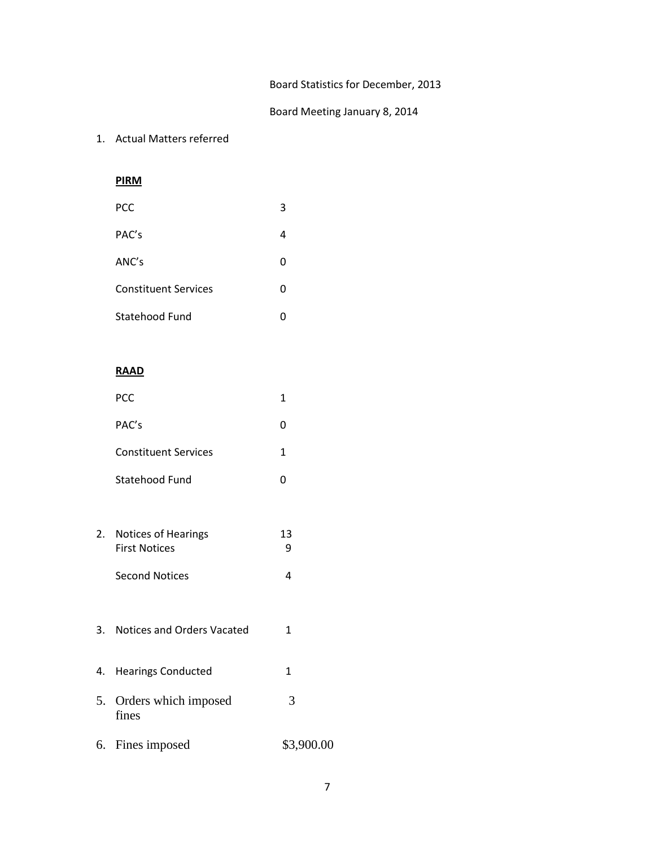## Board Statistics for December, 2013

### Board Meeting January 8, 2014

#### 1. Actual Matters referred

**PIRM**

| <b>PCC</b>                  | 3 |
|-----------------------------|---|
| PAC's                       | 4 |
| ANC's                       | 0 |
| <b>Constituent Services</b> | 0 |
| Statehood Fund              | O |

### **RAAD**

| <b>PCC</b>                  |   |
|-----------------------------|---|
| PAC's                       | 0 |
| <b>Constituent Services</b> | 1 |
| Statehood Fund              |   |
|                             |   |

- 2. Notices of Hearings 13 First Notices 9 Second Notices 4
- 3. Notices and Orders Vacated 1
- 4. Hearings Conducted 1 5. Orders which imposed 3 fines
- 6. Fines imposed \$3,900.00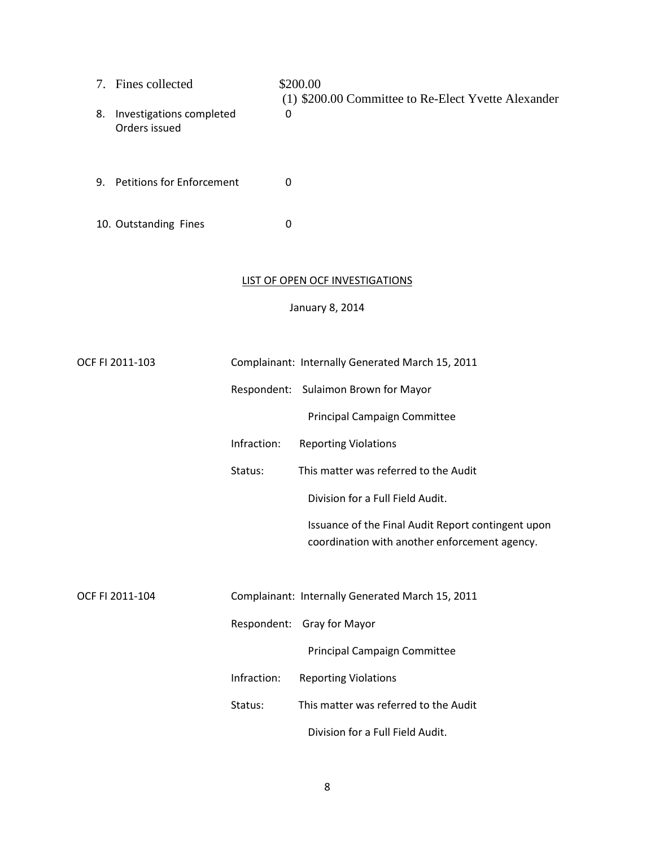- 7. Fines collected \$200.00 (1) \$200.00 Committee to Re-Elect Yvette Alexander 8. Investigations completed 0 Orders issued
- 9. Petitions for Enforcement 0
- 10. Outstanding Fines 0

#### LIST OF OPEN OCF INVESTIGATIONS

January 8, 2014

| OCF FI 2011-103 |             | Complainant: Internally Generated March 15, 2011                                                    |
|-----------------|-------------|-----------------------------------------------------------------------------------------------------|
|                 |             | Respondent: Sulaimon Brown for Mayor                                                                |
|                 |             | Principal Campaign Committee                                                                        |
|                 | Infraction: | <b>Reporting Violations</b>                                                                         |
|                 | Status:     | This matter was referred to the Audit                                                               |
|                 |             | Division for a Full Field Audit.                                                                    |
|                 |             | Issuance of the Final Audit Report contingent upon<br>coordination with another enforcement agency. |
|                 |             |                                                                                                     |
| OCF FI 2011-104 |             | Complainant: Internally Generated March 15, 2011                                                    |
|                 |             | Respondent: Gray for Mayor                                                                          |
|                 |             | Principal Campaign Committee                                                                        |
|                 | Infraction: | <b>Reporting Violations</b>                                                                         |
|                 | Status:     | This matter was referred to the Audit                                                               |
|                 |             | Division for a Full Field Audit.                                                                    |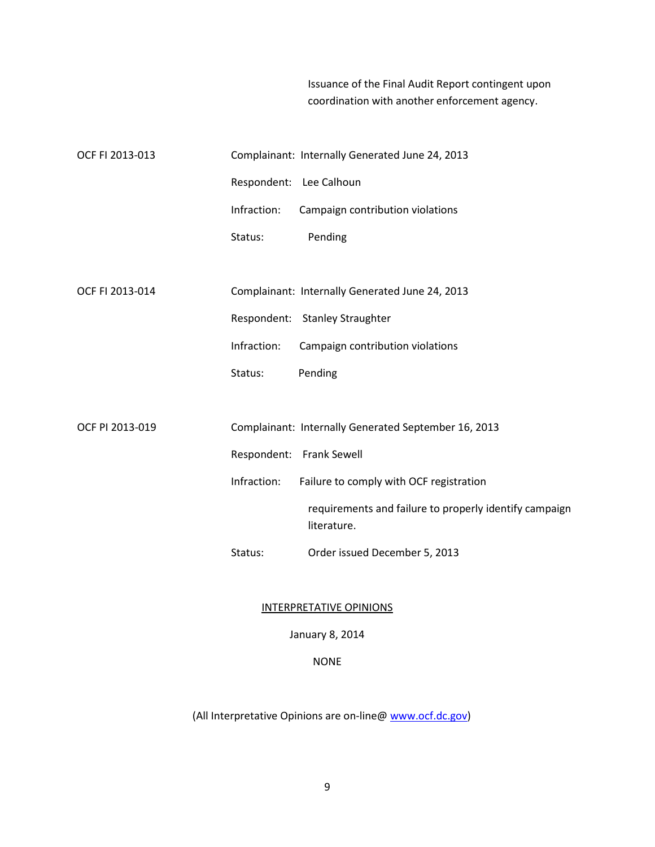Issuance of the Final Audit Report contingent upon coordination with another enforcement agency.

| OCF FI 2013-013 |                         | Complainant: Internally Generated June 24, 2013                       |
|-----------------|-------------------------|-----------------------------------------------------------------------|
|                 | Respondent: Lee Calhoun |                                                                       |
|                 | Infraction:             | Campaign contribution violations                                      |
|                 | Status:                 | Pending                                                               |
|                 |                         |                                                                       |
| OCF FI 2013-014 |                         | Complainant: Internally Generated June 24, 2013                       |
|                 |                         | Respondent: Stanley Straughter                                        |
|                 | Infraction:             | Campaign contribution violations                                      |
|                 | Status:                 | Pending                                                               |
|                 |                         |                                                                       |
| OCF PI 2013-019 |                         | Complainant: Internally Generated September 16, 2013                  |
|                 |                         | Respondent: Frank Sewell                                              |
|                 | Infraction:             | Failure to comply with OCF registration                               |
|                 |                         | requirements and failure to properly identify campaign<br>literature. |
|                 | Status:                 | Order issued December 5, 2013                                         |
|                 |                         |                                                                       |

#### INTERPRETATIVE OPINIONS

January 8, 2014

NONE

(All Interpretative Opinions are on-line@ [www.ocf.dc.gov\)](http://www.ocf.dc.gov/)